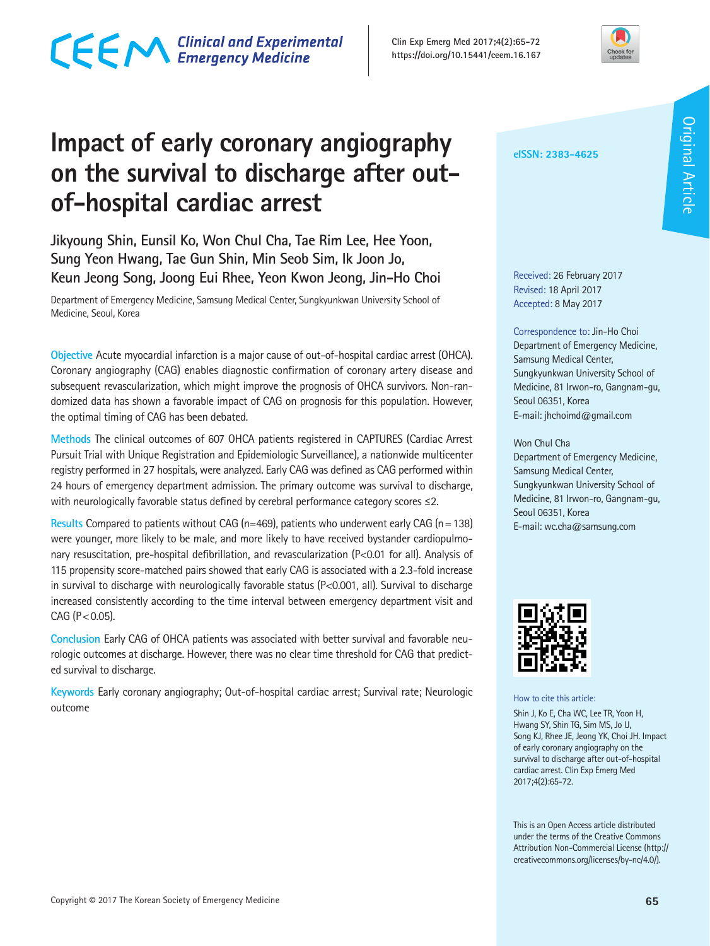# CECM Clinical and Experimental

**Clin Exp Emerg Med 2017;4(2):65-72 https://doi.org/10.15441/ceem.16.167**



# **Impact of early coronary angiography on the survival to discharge after outof-hospital cardiac arrest**

**Jikyoung Shin, Eunsil Ko, Won Chul Cha, Tae Rim Lee, Hee Yoon, Sung Yeon Hwang, Tae Gun Shin, Min Seob Sim, Ik Joon Jo, Keun Jeong Song, Joong Eui Rhee, Yeon Kwon Jeong, Jin-Ho Choi**

Department of Emergency Medicine, Samsung Medical Center, Sungkyunkwan University School of Medicine, Seoul, Korea

**Objective** Acute myocardial infarction is a major cause of out-of-hospital cardiac arrest (OHCA). Coronary angiography (CAG) enables diagnostic confirmation of coronary artery disease and subsequent revascularization, which might improve the prognosis of OHCA survivors. Non-randomized data has shown a favorable impact of CAG on prognosis for this population. However, the optimal timing of CAG has been debated.

**Methods** The clinical outcomes of 607 OHCA patients registered in CAPTURES (Cardiac Arrest Pursuit Trial with Unique Registration and Epidemiologic Surveillance), a nationwide multicenter registry performed in 27 hospitals, were analyzed. Early CAG was defined as CAG performed within 24 hours of emergency department admission. The primary outcome was survival to discharge, with neurologically favorable status defined by cerebral performance category scores ≤2.

**Results** Compared to patients without CAG (n=469), patients who underwent early CAG (n=138) were younger, more likely to be male, and more likely to have received bystander cardiopulmonary resuscitation, pre-hospital defibrillation, and revascularization (P<0.01 for all). Analysis of 115 propensity score-matched pairs showed that early CAG is associated with a 2.3-fold increase in survival to discharge with neurologically favorable status (P<0.001, all). Survival to discharge increased consistently according to the time interval between emergency department visit and  $CAG (P < 0.05)$ .

**Conclusion** Early CAG of OHCA patients was associated with better survival and favorable neurologic outcomes at discharge. However, there was no clear time threshold for CAG that predicted survival to discharge.

**Keywords** Early coronary angiography; Out-of-hospital cardiac arrest; Survival rate; Neurologic outcome

**eISSN: 2383-4625**

Received: 26 February 2017 Revised: 18 April 2017 Accepted: 8 May 2017

Correspondence to: Jin-Ho Choi Department of Emergency Medicine, Samsung Medical Center, Sungkyunkwan University School of Medicine, 81 Irwon-ro, Gangnam-gu, Seoul 06351, Korea E-mail: jhchoimd@gmail.com

### Won Chul Cha Department of Emergency Medicine, Samsung Medical Center, Sungkyunkwan University School of Medicine, 81 Irwon-ro, Gangnam-gu, Seoul 06351, Korea E-mail: wc.cha@samsung.com



How to cite this article:

Shin J, Ko E, Cha WC, Lee TR, Yoon H, Hwang SY, Shin TG, Sim MS, Jo IJ, Song KJ, Rhee JE, Jeong YK, Choi JH. Impact of early coronary angiography on the survival to discharge after out-of-hospital cardiac arrest. Clin Exp Emerg Med 2017;4(2):65-72.

This is an Open Access article distributed under the terms of the Creative Commons Attribution Non-Commercial License (http:// creativecommons.org/licenses/by-nc/4.0/).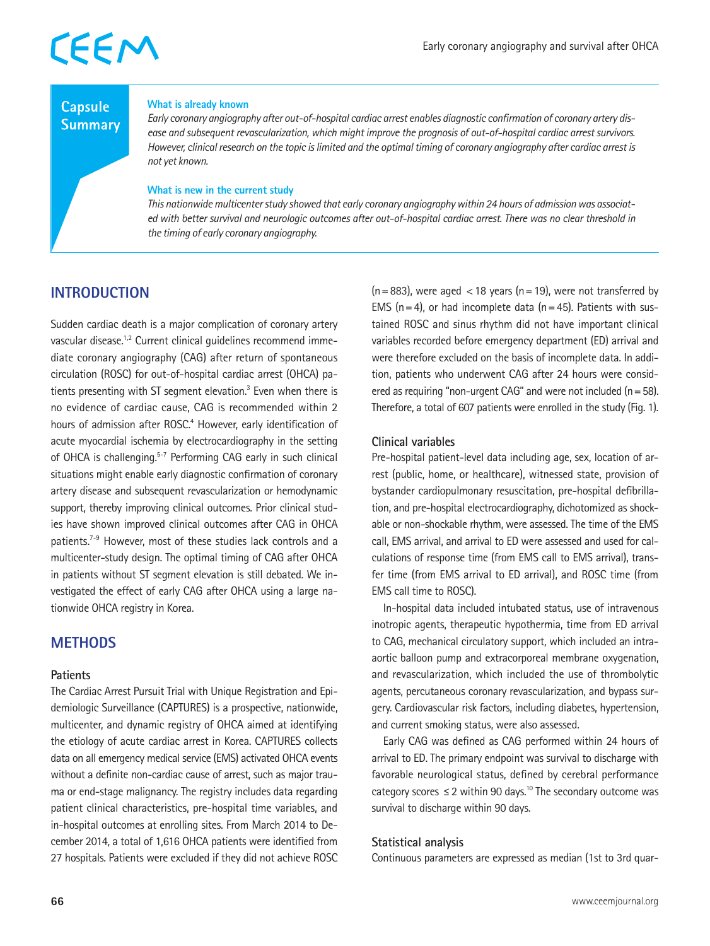### **Capsule Summary**

#### **What is already known**

*Early coronary angiography after out-of-hospital cardiac arrest enables diagnostic confirmation of coronary artery disease and subsequent revascularization, which might improve the prognosis of out-of-hospital cardiac arrest survivors. However, clinical research on the topic is limited and the optimal timing of coronary angiography after cardiac arrest is not yet known.*

#### **What is new in the current study**

*This nationwide multicenter study showed that early coronary angiography within 24 hours of admission was associated with better survival and neurologic outcomes after out-of-hospital cardiac arrest. There was no clear threshold in the timing of early coronary angiography.*

## **INTRODUCTION**

Sudden cardiac death is a major complication of coronary artery vascular disease.1,2 Current clinical guidelines recommend immediate coronary angiography (CAG) after return of spontaneous circulation (ROSC) for out-of-hospital cardiac arrest (OHCA) patients presenting with ST segment elevation.<sup>3</sup> Even when there is no evidence of cardiac cause, CAG is recommended within 2 hours of admission after ROSC.<sup>4</sup> However, early identification of acute myocardial ischemia by electrocardiography in the setting of OHCA is challenging.<sup>5-7</sup> Performing CAG early in such clinical situations might enable early diagnostic confirmation of coronary artery disease and subsequent revascularization or hemodynamic support, thereby improving clinical outcomes. Prior clinical studies have shown improved clinical outcomes after CAG in OHCA patients.<sup>7-9</sup> However, most of these studies lack controls and a multicenter-study design. The optimal timing of CAG after OHCA in patients without ST segment elevation is still debated. We investigated the effect of early CAG after OHCA using a large nationwide OHCA registry in Korea.

### **METHODS**

### **Patients**

The Cardiac Arrest Pursuit Trial with Unique Registration and Epidemiologic Surveillance (CAPTURES) is a prospective, nationwide, multicenter, and dynamic registry of OHCA aimed at identifying the etiology of acute cardiac arrest in Korea. CAPTURES collects data on all emergency medical service (EMS) activated OHCA events without a definite non-cardiac cause of arrest, such as major trauma or end-stage malignancy. The registry includes data regarding patient clinical characteristics, pre-hospital time variables, and in-hospital outcomes at enrolling sites. From March 2014 to December 2014, a total of 1,616 OHCA patients were identified from 27 hospitals. Patients were excluded if they did not achieve ROSC  $(n=883)$ , were aged <18 years  $(n=19)$ , were not transferred by EMS ( $n=4$ ), or had incomplete data ( $n=45$ ). Patients with sustained ROSC and sinus rhythm did not have important clinical variables recorded before emergency department (ED) arrival and were therefore excluded on the basis of incomplete data. In addition, patients who underwent CAG after 24 hours were considered as requiring "non-urgent CAG" and were not included  $(n=58)$ . Therefore, a total of 607 patients were enrolled in the study (Fig. 1).

### **Clinical variables**

Pre-hospital patient-level data including age, sex, location of arrest (public, home, or healthcare), witnessed state, provision of bystander cardiopulmonary resuscitation, pre-hospital defibrillation, and pre-hospital electrocardiography, dichotomized as shockable or non-shockable rhythm, were assessed. The time of the EMS call, EMS arrival, and arrival to ED were assessed and used for calculations of response time (from EMS call to EMS arrival), transfer time (from EMS arrival to ED arrival), and ROSC time (from EMS call time to ROSC).

In-hospital data included intubated status, use of intravenous inotropic agents, therapeutic hypothermia, time from ED arrival to CAG, mechanical circulatory support, which included an intraaortic balloon pump and extracorporeal membrane oxygenation, and revascularization, which included the use of thrombolytic agents, percutaneous coronary revascularization, and bypass surgery. Cardiovascular risk factors, including diabetes, hypertension, and current smoking status, were also assessed.

Early CAG was defined as CAG performed within 24 hours of arrival to ED. The primary endpoint was survival to discharge with favorable neurological status, defined by cerebral performance category scores  $\leq$  2 within 90 days.<sup>10</sup> The secondary outcome was survival to discharge within 90 days.

### **Statistical analysis**

Continuous parameters are expressed as median (1st to 3rd quar-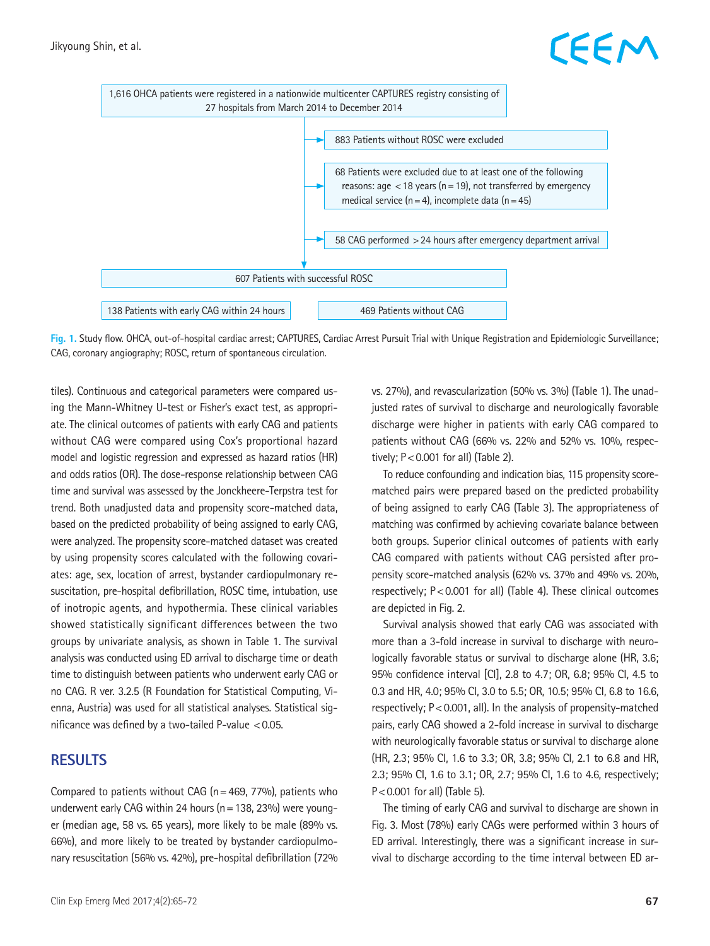# EEM



**Fig. 1.** Study flow. OHCA, out-of-hospital cardiac arrest; CAPTURES, Cardiac Arrest Pursuit Trial with Unique Registration and Epidemiologic Surveillance; CAG, coronary angiography; ROSC, return of spontaneous circulation.

tiles). Continuous and categorical parameters were compared using the Mann-Whitney U-test or Fisher's exact test, as appropriate. The clinical outcomes of patients with early CAG and patients without CAG were compared using Cox's proportional hazard model and logistic regression and expressed as hazard ratios (HR) and odds ratios (OR). The dose-response relationship between CAG time and survival was assessed by the Jonckheere-Terpstra test for trend. Both unadjusted data and propensity score-matched data, based on the predicted probability of being assigned to early CAG, were analyzed. The propensity score-matched dataset was created by using propensity scores calculated with the following covariates: age, sex, location of arrest, bystander cardiopulmonary resuscitation, pre-hospital defibrillation, ROSC time, intubation, use of inotropic agents, and hypothermia. These clinical variables showed statistically significant differences between the two groups by univariate analysis, as shown in Table 1. The survival analysis was conducted using ED arrival to discharge time or death time to distinguish between patients who underwent early CAG or no CAG. R ver. 3.2.5 (R Foundation for Statistical Computing, Vienna, Austria) was used for all statistical analyses. Statistical significance was defined by a two-tailed P-value  $< 0.05$ .

### **RESULTS**

Compared to patients without CAG ( $n=469$ , 77%), patients who underwent early CAG within 24 hours ( $n=138$ , 23%) were younger (median age, 58 vs. 65 years), more likely to be male (89% vs. 66%), and more likely to be treated by bystander cardiopulmonary resuscitation (56% vs. 42%), pre-hospital defibrillation (72% vs. 27%), and revascularization (50% vs. 3%) (Table 1). The unadjusted rates of survival to discharge and neurologically favorable discharge were higher in patients with early CAG compared to patients without CAG (66% vs. 22% and 52% vs. 10%, respectively;  $P < 0.001$  for all) (Table 2).

To reduce confounding and indication bias, 115 propensity scorematched pairs were prepared based on the predicted probability of being assigned to early CAG (Table 3). The appropriateness of matching was confirmed by achieving covariate balance between both groups. Superior clinical outcomes of patients with early CAG compared with patients without CAG persisted after propensity score-matched analysis (62% vs. 37% and 49% vs. 20%, respectively; P<0.001 for all) (Table 4). These clinical outcomes are depicted in Fig. 2.

Survival analysis showed that early CAG was associated with more than a 3-fold increase in survival to discharge with neurologically favorable status or survival to discharge alone (HR, 3.6; 95% confidence interval [CI], 2.8 to 4.7; OR, 6.8; 95% CI, 4.5 to 0.3 and HR, 4.0; 95% CI, 3.0 to 5.5; OR, 10.5; 95% CI, 6.8 to 16.6, respectively; P<0.001, all). In the analysis of propensity-matched pairs, early CAG showed a 2-fold increase in survival to discharge with neurologically favorable status or survival to discharge alone (HR, 2.3; 95% CI, 1.6 to 3.3; OR, 3.8; 95% CI, 2.1 to 6.8 and HR, 2.3; 95% CI, 1.6 to 3.1; OR, 2.7; 95% CI, 1.6 to 4.6, respectively; P<0.001 for all) (Table 5).

The timing of early CAG and survival to discharge are shown in Fig. 3. Most (78%) early CAGs were performed within 3 hours of ED arrival. Interestingly, there was a significant increase in survival to discharge according to the time interval between ED ar-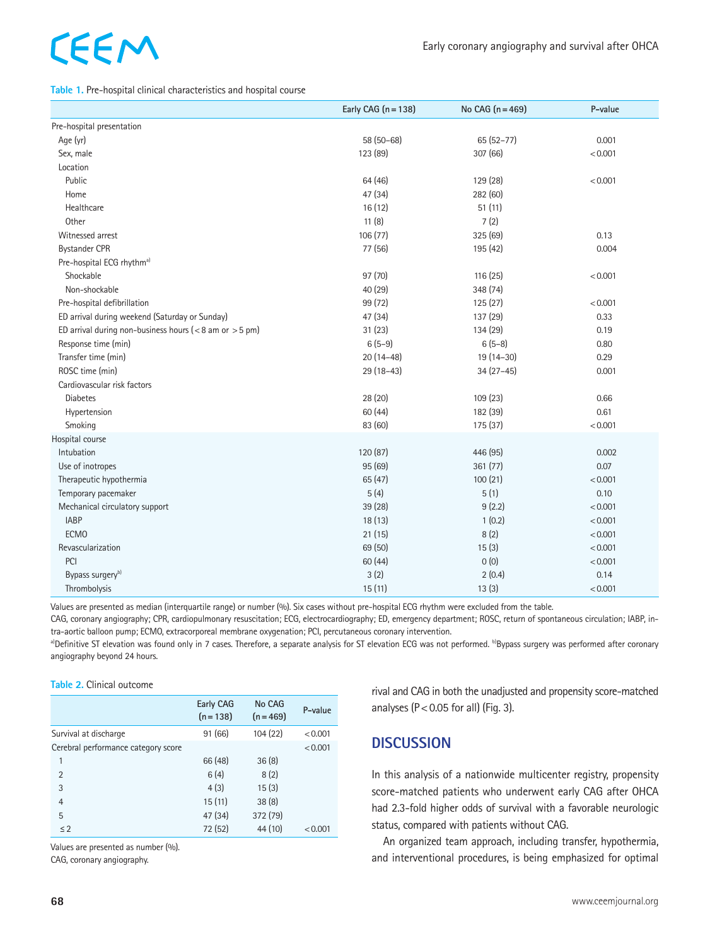#### **Table 1.** Pre-hospital clinical characteristics and hospital course

|                                                              | Early CAG $(n = 138)$ | No CAG $(n=469)$ | P-value |
|--------------------------------------------------------------|-----------------------|------------------|---------|
| Pre-hospital presentation                                    |                       |                  |         |
| Age (yr)                                                     | $58(50-68)$           | $65(52-77)$      | 0.001   |
| Sex, male                                                    | 123 (89)              | 307 (66)         | < 0.001 |
| Location                                                     |                       |                  |         |
| Public                                                       | 64 (46)               | 129 (28)         | < 0.001 |
| Home                                                         | 47 (34)               | 282 (60)         |         |
| Healthcare                                                   | 16(12)                | 51(11)           |         |
| Other                                                        | 11(8)                 | 7(2)             |         |
| Witnessed arrest                                             | 106(77)               | 325 (69)         | 0.13    |
| <b>Bystander CPR</b>                                         | 77 (56)               | 195 (42)         | 0.004   |
| Pre-hospital ECG rhythm <sup>a)</sup>                        |                       |                  |         |
| Shockable                                                    | 97 (70)               | 116 (25)         | < 0.001 |
| Non-shockable                                                | 40 (29)               | 348 (74)         |         |
| Pre-hospital defibrillation                                  | 99 (72)               | 125(27)          | < 0.001 |
| ED arrival during weekend (Saturday or Sunday)               | 47 (34)               | 137 (29)         | 0.33    |
| ED arrival during non-business hours ( $<$ 8 am or $>$ 5 pm) | 31(23)                | 134 (29)         | 0.19    |
| Response time (min)                                          | $6(5-9)$              | $6(5-8)$         | 0.80    |
| Transfer time (min)                                          | $20(14-48)$           | 19 (14-30)       | 0.29    |
| ROSC time (min)                                              | 29 (18-43)            | $34(27-45)$      | 0.001   |
| Cardiovascular risk factors                                  |                       |                  |         |
| <b>Diabetes</b>                                              | 28 (20)               | 109 (23)         | 0.66    |
| Hypertension                                                 | 60 (44)               | 182 (39)         | 0.61    |
| Smoking                                                      | 83 (60)               | 175 (37)         | < 0.001 |
| Hospital course                                              |                       |                  |         |
| Intubation                                                   | 120 (87)              | 446 (95)         | 0.002   |
| Use of inotropes                                             | 95 (69)               | 361 (77)         | 0.07    |
| Therapeutic hypothermia                                      | 65 (47)               | 100(21)          | < 0.001 |
| Temporary pacemaker                                          | 5(4)                  | 5(1)             | 0.10    |
| Mechanical circulatory support                               | 39 (28)               | 9(2.2)           | < 0.001 |
| <b>IABP</b>                                                  | 18 (13)               | 1(0.2)           | < 0.001 |
| <b>ECMO</b>                                                  | 21(15)                | 8(2)             | < 0.001 |
| Revascularization                                            | 69 (50)               | 15(3)            | < 0.001 |
| PCI                                                          | 60(44)                | 0(0)             | < 0.001 |
| Bypass surgery <sup>b)</sup>                                 | 3(2)                  | 2(0.4)           | 0.14    |
| Thrombolysis                                                 | 15(11)                | 13(3)            | < 0.001 |

Values are presented as median (interquartile range) or number (%). Six cases without pre-hospital ECG rhythm were excluded from the table.

CAG, coronary angiography; CPR, cardiopulmonary resuscitation; ECG, electrocardiography; ED, emergency department; ROSC, return of spontaneous circulation; IABP, intra-aortic balloon pump; ECMO, extracorporeal membrane oxygenation; PCI, percutaneous coronary intervention.

a)Definitive ST elevation was found only in 7 cases. Therefore, a separate analysis for ST elevation ECG was not performed. <sup>b)</sup>Bypass surgery was performed after coronary angiography beyond 24 hours.

#### **Table 2.** Clinical outcome

|                                     | Early CAG<br>$(n = 138)$ | No CAG<br>$(n = 469)$ | P-value |
|-------------------------------------|--------------------------|-----------------------|---------|
| Survival at discharge               | 91 (66)                  | 104 (22)              | < 0.001 |
| Cerebral performance category score |                          |                       | < 0.001 |
| 1                                   | 66 (48)                  | 36(8)                 |         |
| $\overline{2}$                      | 6(4)                     | 8(2)                  |         |
| 3                                   | 4(3)                     | 15(3)                 |         |
| $\overline{4}$                      | 15(11)                   | 38(8)                 |         |
| 5                                   | 47 (34)                  | 372 (79)              |         |
| $\leq$ 2                            | 72 (52)                  | 44 (10)               | < 0.001 |

Values are presented as number (%).

CAG, coronary angiography.

rival and CAG in both the unadjusted and propensity score-matched analyses ( $P < 0.05$  for all) (Fig. 3).

### **DISCUSSION**

In this analysis of a nationwide multicenter registry, propensity score-matched patients who underwent early CAG after OHCA had 2.3-fold higher odds of survival with a favorable neurologic status, compared with patients without CAG.

An organized team approach, including transfer, hypothermia, and interventional procedures, is being emphasized for optimal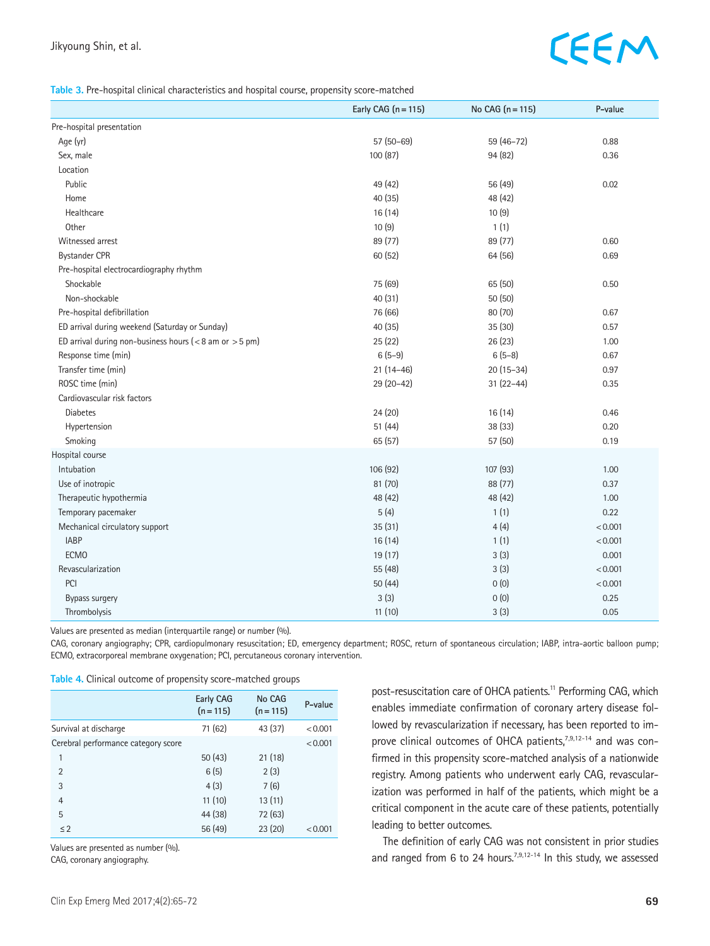#### **Table 3.** Pre-hospital clinical characteristics and hospital course, propensity score-matched

|                                                              | Early CAG $(n = 115)$ | No CAG $(n = 115)$ | P-value |
|--------------------------------------------------------------|-----------------------|--------------------|---------|
| Pre-hospital presentation                                    |                       |                    |         |
| Age (yr)                                                     | 57 (50-69)            | 59 (46-72)         | 0.88    |
| Sex, male                                                    | 100(87)               | 94 (82)            | 0.36    |
| Location                                                     |                       |                    |         |
| Public                                                       | 49 (42)               | 56 (49)            | 0.02    |
| Home                                                         | 40 (35)               | 48 (42)            |         |
| Healthcare                                                   | 16(14)                | 10(9)              |         |
| Other                                                        | 10(9)                 | 1(1)               |         |
| Witnessed arrest                                             | 89 (77)               | 89 (77)            | 0.60    |
| <b>Bystander CPR</b>                                         | 60 (52)               | 64 (56)            | 0.69    |
| Pre-hospital electrocardiography rhythm                      |                       |                    |         |
| Shockable                                                    | 75 (69)               | 65 (50)            | 0.50    |
| Non-shockable                                                | 40 (31)               | 50(50)             |         |
| Pre-hospital defibrillation                                  | 76 (66)               | 80 (70)            | 0.67    |
| ED arrival during weekend (Saturday or Sunday)               | 40 (35)               | 35(30)             | 0.57    |
| ED arrival during non-business hours ( $<$ 8 am or $>$ 5 pm) | 25(22)                | 26(23)             | 1.00    |
| Response time (min)                                          | $6(5-9)$              | $6(5-8)$           | 0.67    |
| Transfer time (min)                                          | $21(14-46)$           | $20(15-34)$        | 0.97    |
| ROSC time (min)                                              | 29 (20-42)            | $31(22 - 44)$      | 0.35    |
| Cardiovascular risk factors                                  |                       |                    |         |
| <b>Diabetes</b>                                              | 24(20)                | 16(14)             | 0.46    |
| Hypertension                                                 | 51(44)                | 38 (33)            | 0.20    |
| Smoking                                                      | 65(57)                | 57 (50)            | 0.19    |
| Hospital course                                              |                       |                    |         |
| Intubation                                                   | 106 (92)              | 107 (93)           | 1.00    |
| Use of inotropic                                             | 81 (70)               | 88 (77)            | 0.37    |
| Therapeutic hypothermia                                      | 48 (42)               | 48 (42)            | 1.00    |
| Temporary pacemaker                                          | 5(4)                  | 1(1)               | 0.22    |
| Mechanical circulatory support                               | 35(31)                | 4(4)               | < 0.001 |
| <b>IABP</b>                                                  | 16(14)                | 1(1)               | < 0.001 |
| <b>ECMO</b>                                                  | 19(17)                | 3(3)               | 0.001   |
| Revascularization                                            | 55 (48)               | 3(3)               | < 0.001 |
| PCI                                                          | 50 (44)               | 0(0)               | < 0.001 |
| Bypass surgery                                               | 3(3)                  | 0(0)               | 0.25    |
| Thrombolysis                                                 | 11(10)                | 3(3)               | 0.05    |

Values are presented as median (interquartile range) or number (%).

CAG, coronary angiography; CPR, cardiopulmonary resuscitation; ED, emergency department; ROSC, return of spontaneous circulation; IABP, intra-aortic balloon pump; ECMO, extracorporeal membrane oxygenation; PCI, percutaneous coronary intervention.

| Table 4. Clinical outcome of propensity score-matched groups |  |  |
|--------------------------------------------------------------|--|--|
|--------------------------------------------------------------|--|--|

|                                     | Early CAG<br>$(n = 115)$ | No CAG<br>$(n = 115)$ | P-value |
|-------------------------------------|--------------------------|-----------------------|---------|
| Survival at discharge               | 71 (62)                  | 43 (37)               | < 0.001 |
| Cerebral performance category score |                          |                       | < 0.001 |
| 1                                   | 50(43)                   | 21(18)                |         |
| $\overline{2}$                      | 6(5)                     | 2(3)                  |         |
| 3                                   | 4(3)                     | 7(6)                  |         |
| $\overline{4}$                      | 11(10)                   | 13(11)                |         |
| 5                                   | 44 (38)                  | 72 (63)               |         |
| $\leq$ 2                            | 56 (49)                  | 23(20)                | < 0.001 |

Values are presented as number (%).

CAG, coronary angiography.

post-resuscitation care of OHCA patients.<sup>11</sup> Performing CAG, which enables immediate confirmation of coronary artery disease followed by revascularization if necessary, has been reported to improve clinical outcomes of OHCA patients,<sup>7,9,12-14</sup> and was confirmed in this propensity score-matched analysis of a nationwide registry. Among patients who underwent early CAG, revascularization was performed in half of the patients, which might be a critical component in the acute care of these patients, potentially leading to better outcomes.

The definition of early CAG was not consistent in prior studies and ranged from 6 to 24 hours.<sup>7,9,12-14</sup> In this study, we assessed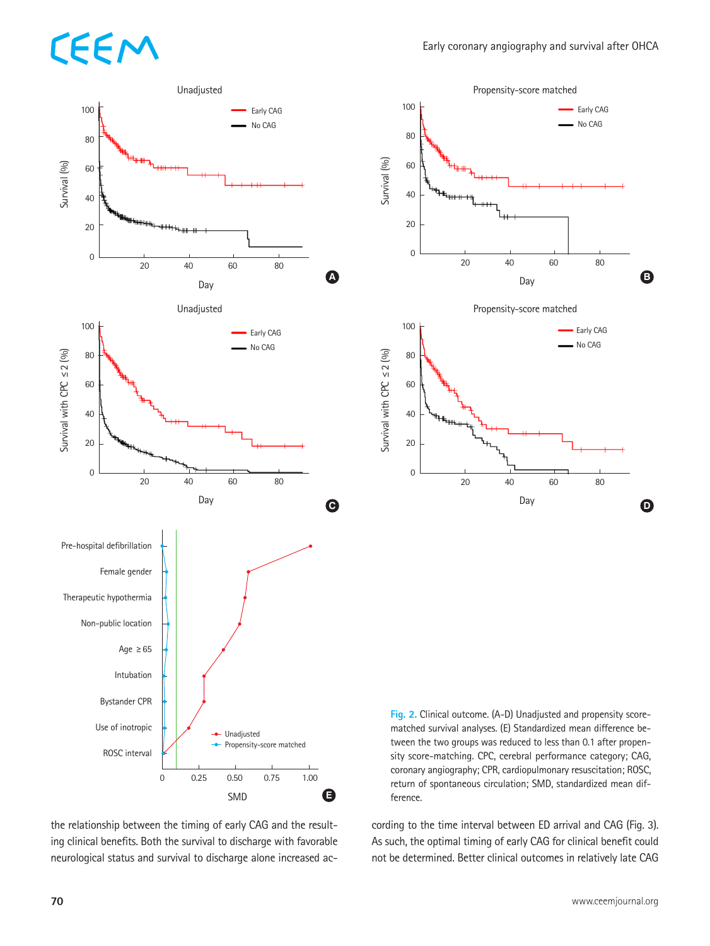

the relationship between the timing of early CAG and the resulting clinical benefits. Both the survival to discharge with favorable neurological status and survival to discharge alone increased ac-



**Fig. 2.** Clinical outcome. (A-D) Unadjusted and propensity scorematched survival analyses. (E) Standardized mean difference between the two groups was reduced to less than 0.1 after propensity score-matching. CPC, cerebral performance category; CAG, coronary angiography; CPR, cardiopulmonary resuscitation; ROSC, return of spontaneous circulation; SMD, standardized mean difference.

cording to the time interval between ED arrival and CAG (Fig. 3). As such, the optimal timing of early CAG for clinical benefit could not be determined. Better clinical outcomes in relatively late CAG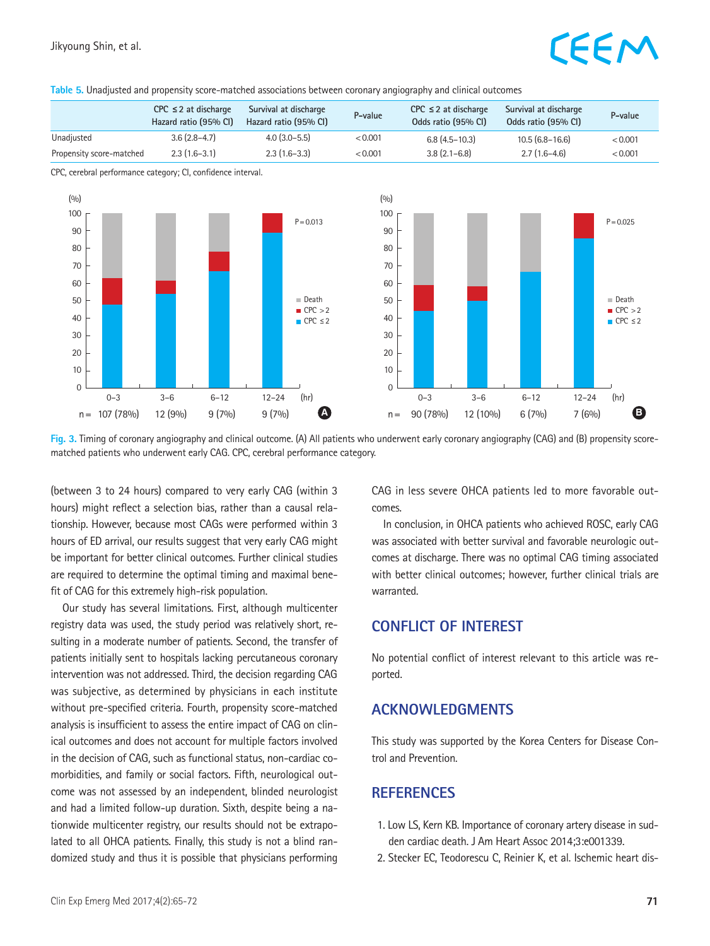#### **Table 5.** Unadjusted and propensity score-matched associations between coronary angiography and clinical outcomes

|                          | $CPC \leq 2$ at discharge<br>Hazard ratio (95% CI) | Survival at discharge<br>Hazard ratio (95% CI) | P-value | $CPC \leq 2$ at discharge<br>Odds ratio (95% CI) | Survival at discharge<br>Odds ratio (95% CI) | P-value |
|--------------------------|----------------------------------------------------|------------------------------------------------|---------|--------------------------------------------------|----------------------------------------------|---------|
| Unadjusted               | $3.6(2.8-4.7)$                                     | $4.0(3.0-5.5)$                                 | < 0.001 | $6.8(4.5-10.3)$                                  | $10.5(6.8 - 16.6)$                           | < 0.001 |
| Propensity score-matched | $2.3(1.6-3.1)$                                     | $2.3(1.6-3.3)$                                 | < 0.001 | $3.8(2.1 - 6.8)$                                 | $2.7(1.6-4.6)$                               | < 0.001 |

CPC, cerebral performance category; CI, confidence interval.



**Fig. 3.** Timing of coronary angiography and clinical outcome. (A) All patients who underwent early coronary angiography (CAG) and (B) propensity scorematched patients who underwent early CAG. CPC, cerebral performance category.

(between 3 to 24 hours) compared to very early CAG (within 3 hours) might reflect a selection bias, rather than a causal relationship. However, because most CAGs were performed within 3 hours of ED arrival, our results suggest that very early CAG might be important for better clinical outcomes. Further clinical studies are required to determine the optimal timing and maximal benefit of CAG for this extremely high-risk population.

Our study has several limitations. First, although multicenter registry data was used, the study period was relatively short, resulting in a moderate number of patients. Second, the transfer of patients initially sent to hospitals lacking percutaneous coronary intervention was not addressed. Third, the decision regarding CAG was subjective, as determined by physicians in each institute without pre-specified criteria. Fourth, propensity score-matched analysis is insufficient to assess the entire impact of CAG on clinical outcomes and does not account for multiple factors involved in the decision of CAG, such as functional status, non-cardiac comorbidities, and family or social factors. Fifth, neurological outcome was not assessed by an independent, blinded neurologist and had a limited follow-up duration. Sixth, despite being a nationwide multicenter registry, our results should not be extrapolated to all OHCA patients. Finally, this study is not a blind randomized study and thus it is possible that physicians performing

CAG in less severe OHCA patients led to more favorable outcomes.

In conclusion, in OHCA patients who achieved ROSC, early CAG was associated with better survival and favorable neurologic outcomes at discharge. There was no optimal CAG timing associated with better clinical outcomes; however, further clinical trials are warranted.

### **CONFLICT OF INTEREST**

No potential conflict of interest relevant to this article was reported.

### **ACKNOWLEDGMENTS**

This study was supported by the Korea Centers for Disease Control and Prevention.

### **REFERENCES**

- 1. Low LS, Kern KB. Importance of coronary artery disease in sudden cardiac death. J Am Heart Assoc 2014;3:e001339.
- 2. Stecker EC, Teodorescu C, Reinier K, et al. Ischemic heart dis-